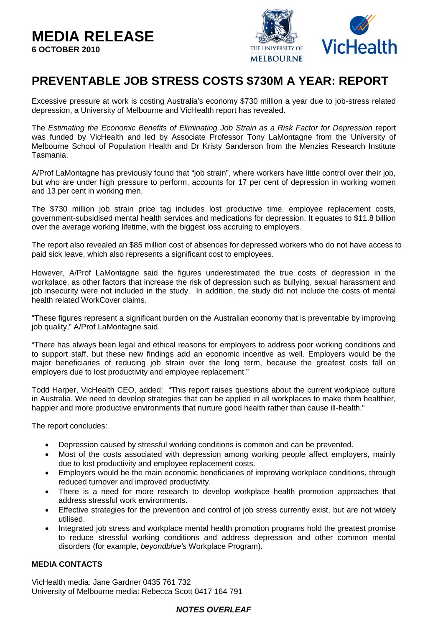## **MEDIA RELEASE 6 OCTOBER 2010**



# **PREVENTABLE JOB STRESS COSTS \$730M A YEAR: REPORT**

Excessive pressure at work is costing Australia's economy \$730 million a year due to job-stress related depression, a University of Melbourne and VicHealth report has revealed.

The *Estimating the Economic Benefits of Eliminating Job Strain as a Risk Factor for Depression* report was funded by VicHealth and led by Associate Professor Tony LaMontagne from the University of Melbourne School of Population Health and Dr Kristy Sanderson from the Menzies Research Institute Tasmania.

A/Prof LaMontagne has previously found that "job strain", where workers have little control over their job, but who are under high pressure to perform, accounts for 17 per cent of depression in working women and 13 per cent in working men.

The \$730 million job strain price tag includes lost productive time, employee replacement costs, government-subsidised mental health services and medications for depression. It equates to \$11.8 billion over the average working lifetime, with the biggest loss accruing to employers.

The report also revealed an \$85 million cost of absences for depressed workers who do not have access to paid sick leave, which also represents a significant cost to employees.

However, A/Prof LaMontagne said the figures underestimated the true costs of depression in the workplace, as other factors that increase the risk of depression such as bullying, sexual harassment and job insecurity were not included in the study. In addition, the study did not include the costs of mental health related WorkCover claims.

"These figures represent a significant burden on the Australian economy that is preventable by improving job quality," A/Prof LaMontagne said.

"There has always been legal and ethical reasons for employers to address poor working conditions and to support staff, but these new findings add an economic incentive as well. Employers would be the major beneficiaries of reducing job strain over the long term, because the greatest costs fall on employers due to lost productivity and employee replacement."

Todd Harper, VicHealth CEO, added: "This report raises questions about the current workplace culture in Australia. We need to develop strategies that can be applied in all workplaces to make them healthier, happier and more productive environments that nurture good health rather than cause ill-health."

The report concludes:

- Depression caused by stressful working conditions is common and can be prevented.
- Most of the costs associated with depression among working people affect employers, mainly due to lost productivity and employee replacement costs.
- Employers would be the main economic beneficiaries of improving workplace conditions, through reduced turnover and improved productivity.
- There is a need for more research to develop workplace health promotion approaches that address stressful work environments.
- Effective strategies for the prevention and control of job stress currently exist, but are not widely utilised.
- Integrated job stress and workplace mental health promotion programs hold the greatest promise to reduce stressful working conditions and address depression and other common mental disorders (for example, *beyondblue's* Workplace Program).

#### **MEDIA CONTACTS**

VicHealth media: Jane Gardner 0435 761 732 University of Melbourne media: Rebecca Scott 0417 164 791

## *NOTES OVERLEAF*